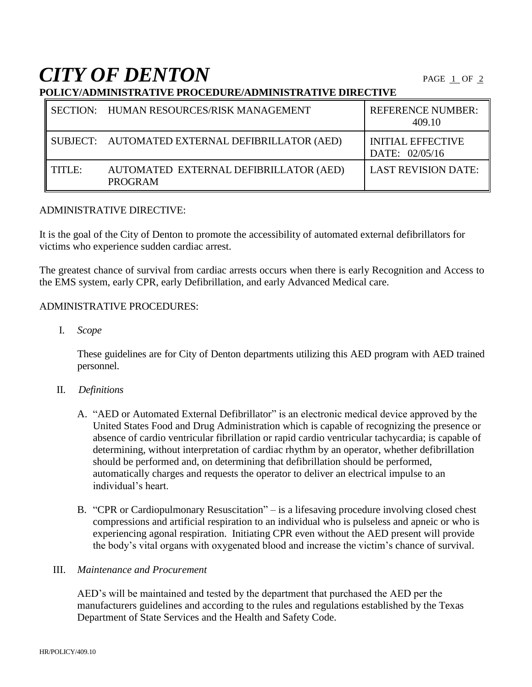**CITY OF DENTON** 

**POLICY/ADMINISTRATIVE PROCEDURE/ADMINISTRATIVE DIRECTIVE**

|        | SECTION: HUMAN RESOURCES/RISK MANAGEMENT                 | <b>REFERENCE NUMBER:</b><br>409.10         |
|--------|----------------------------------------------------------|--------------------------------------------|
|        | SUBJECT: AUTOMATED EXTERNAL DEFIBRILLATOR (AED)          | <b>INITIAL EFFECTIVE</b><br>DATE: 02/05/16 |
| TITLE: | AUTOMATED EXTERNAL DEFIBRILLATOR (AED)<br><b>PROGRAM</b> | <b>LAST REVISION DATE:</b>                 |

#### ADMINISTRATIVE DIRECTIVE:

It is the goal of the City of Denton to promote the accessibility of automated external defibrillators for victims who experience sudden cardiac arrest.

The greatest chance of survival from cardiac arrests occurs when there is early Recognition and Access to the EMS system, early CPR, early Defibrillation, and early Advanced Medical care.

#### ADMINISTRATIVE PROCEDURES:

I. *Scope*

These guidelines are for City of Denton departments utilizing this AED program with AED trained personnel.

- II. *Definitions*
	- A. "AED or Automated External Defibrillator" is an electronic medical device approved by the United States Food and Drug Administration which is capable of recognizing the presence or absence of cardio ventricular fibrillation or rapid cardio ventricular tachycardia; is capable of determining, without interpretation of cardiac rhythm by an operator, whether defibrillation should be performed and, on determining that defibrillation should be performed, automatically charges and requests the operator to deliver an electrical impulse to an individual's heart.
	- B. "CPR or Cardiopulmonary Resuscitation" is a lifesaving procedure involving closed chest compressions and artificial respiration to an individual who is pulseless and apneic or who is experiencing agonal respiration. Initiating CPR even without the AED present will provide the body's vital organs with oxygenated blood and increase the victim's chance of survival.

# III. *Maintenance and Procurement*

AED's will be maintained and tested by the department that purchased the AED per the manufacturers guidelines and according to the rules and regulations established by the Texas Department of State Services and the Health and Safety Code.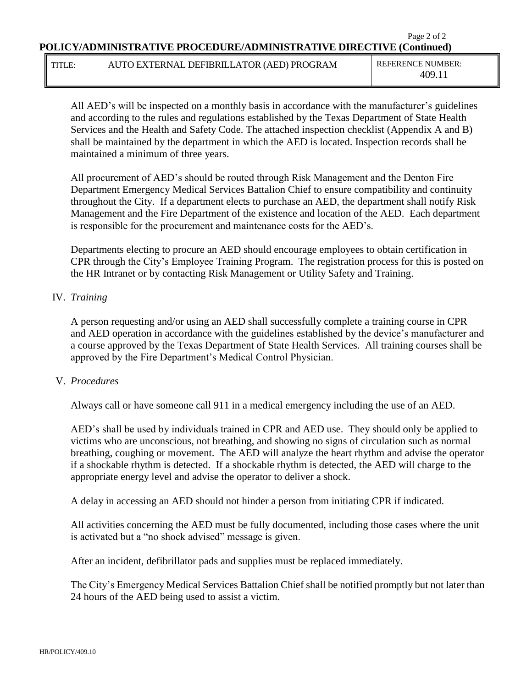#### Page 2 of 2 **POLICY/ADMINISTRATIVE PROCEDURE/ADMINISTRATIVE DIRECTIVE (Continued)**

## TITLE: AUTO EXTERNAL DEFIBRILLATOR (AED) PROGRAM REFERENCE NUMBER:

409.11

All AED's will be inspected on a monthly basis in accordance with the manufacturer's guidelines and according to the rules and regulations established by the Texas Department of State Health Services and the Health and Safety Code. The attached inspection checklist (Appendix A and B) shall be maintained by the department in which the AED is located. Inspection records shall be maintained a minimum of three years.

All procurement of AED's should be routed through Risk Management and the Denton Fire Department Emergency Medical Services Battalion Chief to ensure compatibility and continuity throughout the City. If a department elects to purchase an AED, the department shall notify Risk Management and the Fire Department of the existence and location of the AED. Each department is responsible for the procurement and maintenance costs for the AED's.

Departments electing to procure an AED should encourage employees to obtain certification in CPR through the City's Employee Training Program. The registration process for this is posted on the HR Intranet or by contacting Risk Management or Utility Safety and Training.

## IV. *Training*

A person requesting and/or using an AED shall successfully complete a training course in CPR and AED operation in accordance with the guidelines established by the device's manufacturer and a course approved by the Texas Department of State Health Services. All training courses shall be approved by the Fire Department's Medical Control Physician.

## V. *Procedures*

Always call or have someone call 911 in a medical emergency including the use of an AED.

AED's shall be used by individuals trained in CPR and AED use. They should only be applied to victims who are unconscious, not breathing, and showing no signs of circulation such as normal breathing, coughing or movement. The AED will analyze the heart rhythm and advise the operator if a shockable rhythm is detected. If a shockable rhythm is detected, the AED will charge to the appropriate energy level and advise the operator to deliver a shock.

A delay in accessing an AED should not hinder a person from initiating CPR if indicated.

All activities concerning the AED must be fully documented, including those cases where the unit is activated but a "no shock advised" message is given.

After an incident, defibrillator pads and supplies must be replaced immediately.

The City's Emergency Medical Services Battalion Chief shall be notified promptly but not later than 24 hours of the AED being used to assist a victim.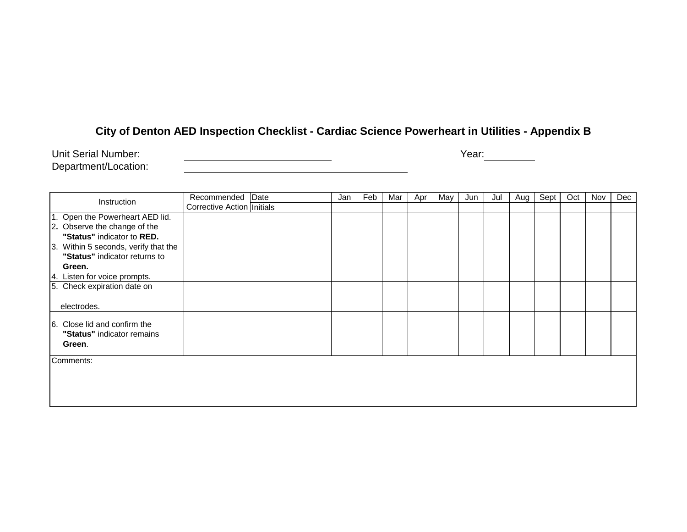# **City of Denton AED Inspection Checklist - Cardiac Science Powerheart in Utilities - Appendix B**

<u> 1989 - Johann Barbara, martin amerikan basar dan basa dan basa dan basa dan basa dan basa dan basa da</u>

Unit Serial Number: <u>All Allen Allen and Charles and Charles and Charles and Charles and Charles and Charles and Year:</u>

Department/Location:

| Instruction                          | Recommended Date             | Jan | Feb | Mar | Apr | May | Jun | Jul | Aug | Sept | Oct | Nov | Dec |
|--------------------------------------|------------------------------|-----|-----|-----|-----|-----|-----|-----|-----|------|-----|-----|-----|
|                                      | Corrective Action   Initials |     |     |     |     |     |     |     |     |      |     |     |     |
| 1. Open the Powerheart AED lid.      |                              |     |     |     |     |     |     |     |     |      |     |     |     |
| 2. Observe the change of the         |                              |     |     |     |     |     |     |     |     |      |     |     |     |
| "Status" indicator to RED.           |                              |     |     |     |     |     |     |     |     |      |     |     |     |
| 3. Within 5 seconds, verify that the |                              |     |     |     |     |     |     |     |     |      |     |     |     |
| "Status" indicator returns to        |                              |     |     |     |     |     |     |     |     |      |     |     |     |
| Green.                               |                              |     |     |     |     |     |     |     |     |      |     |     |     |
| 4. Listen for voice prompts.         |                              |     |     |     |     |     |     |     |     |      |     |     |     |
| 5. Check expiration date on          |                              |     |     |     |     |     |     |     |     |      |     |     |     |
|                                      |                              |     |     |     |     |     |     |     |     |      |     |     |     |
| electrodes.                          |                              |     |     |     |     |     |     |     |     |      |     |     |     |
|                                      |                              |     |     |     |     |     |     |     |     |      |     |     |     |
| 6. Close lid and confirm the         |                              |     |     |     |     |     |     |     |     |      |     |     |     |
| "Status" indicator remains           |                              |     |     |     |     |     |     |     |     |      |     |     |     |
| Green.                               |                              |     |     |     |     |     |     |     |     |      |     |     |     |
| Comments:                            |                              |     |     |     |     |     |     |     |     |      |     |     |     |
|                                      |                              |     |     |     |     |     |     |     |     |      |     |     |     |
|                                      |                              |     |     |     |     |     |     |     |     |      |     |     |     |
|                                      |                              |     |     |     |     |     |     |     |     |      |     |     |     |
|                                      |                              |     |     |     |     |     |     |     |     |      |     |     |     |
|                                      |                              |     |     |     |     |     |     |     |     |      |     |     |     |